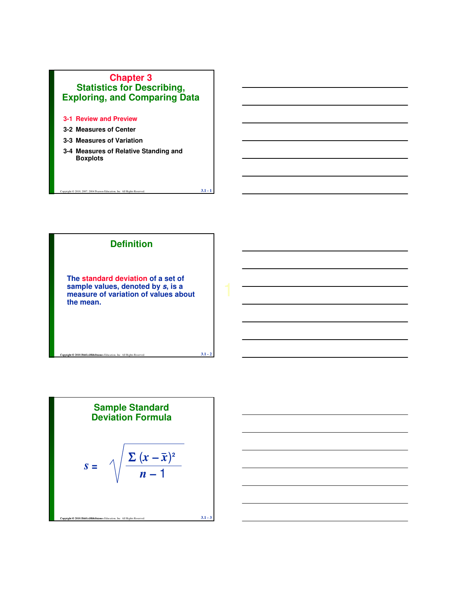# **Chapter 3 Statistics for Describing, Exploring, and Comparing Data**

- **3-1 Review and Preview**
- **3-2 Measures of Center**
- **3-3 Measures of Variation**
- **3-4 Measures of Relative Standing and Boxplots**

yright  $@ 2010$ , 2007, 2004 Pearson Education, Inc. All Rights Reserved.  $3.1 - 1$ 



Sample Standard  
Deviation Formula  

$$
S = \sqrt{\frac{\sum (x - \bar{x})^2}{n - 1}}
$$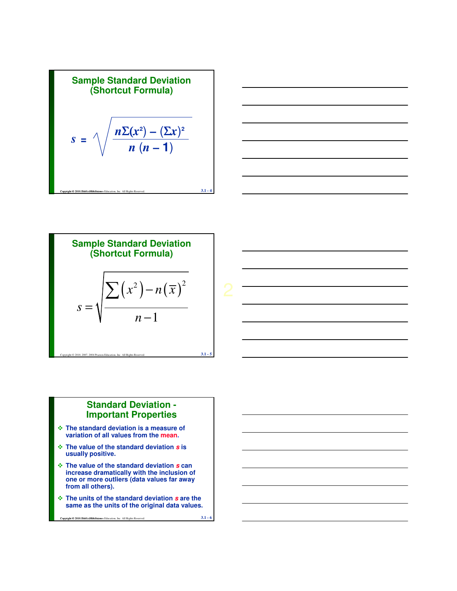Sample Standard Deviation  
\n(Shortcut Formula)  
\n
$$
S = \sqrt{\frac{n \Sigma(x^2) - (\Sigma x)^2}{n (n - 1)}}
$$
\nCeyrigik 0 2010-2014  
\nCeyrigik 0 2010-20144  
\n3.1-4







- **The standard deviation is a measure of variation of all values from the mean.**
- **The value of the standard deviation s is usually positive.**
- **The value of the standard deviation s can increase dramatically with the inclusion of one or more outliers (data values far away from all others).**
- **The units of the standard deviation s are the same as the units of the original data values.**

Copyright © 2010, **2007, 2007**, 2010 Pearson Education, Inc. All Rights Reserved. **3.1 - 6**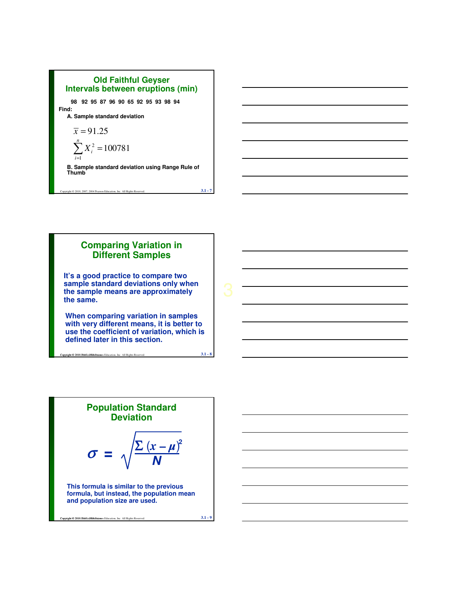#### **Old Faithful Geyser Intervals between eruptions (min)**

**98 92 95 87 96 90 65 92 95 93 98 94 Find:**

**A. Sample standard deviation**

$$
\overline{x} = 91.25
$$

$$
\sum_{i=1}^{n} X_i^2 = 100781
$$

**B. Sample standard deviation using Range Rule of Thumb**

ght  $@$  2010, 2007, 2004 Pearson Education, Inc. All Rights Reserved. **3.1 - 7** 

# **Comparing Variation in Different Samples**

**It's a good practice to compare two sample standard deviations only when the sample means are approximately the same.**

**When comparing variation in samples with very different means, it is better to use the coefficient of variation, which is defined later in this section.**

 $\text{yright} \otimes 2010, \text{R007}, \text{QCD07}, \text{QCD08}, \text{Euler}$  Education, Inc. All Rights Reserved. **3.1 - 8** 

Population Standard

\nDeviation

\n
$$
\sigma = \sqrt{\frac{\sum (x - \mu)^2}{N}}
$$
\nThis formula is similar to the previous formula, but instead, the population mean and population size are used.

Copyright © 2010, E007, 2009 Pearson Education, Inc. All Rights Reserved. **3.1 - 9**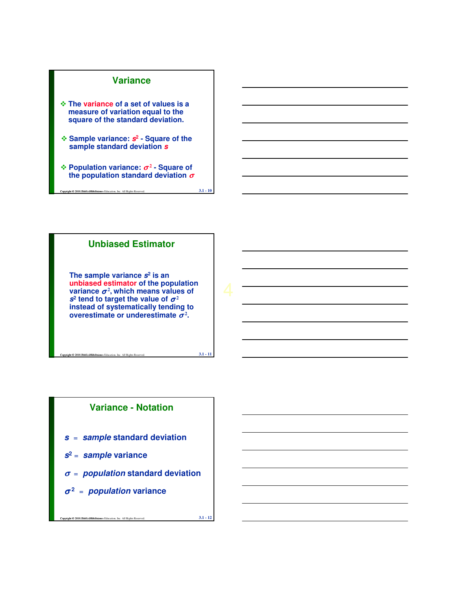

Copyright © 2010, **2007, 2004 Peticson** Education, Inc. All Rights Reserved. **3.1 - 10** 



# **Variance - Notation**

- **s** = **sample standard deviation**
- **s <sup>2</sup>** = **sample variance**
- <sup>σ</sup> = **population standard deviation**

right © 2010, PhD#3oft **Education** Education, Inc. All Rights Reserved. **3.1 - 12** 

σ **<sup>2</sup>** = **population variance**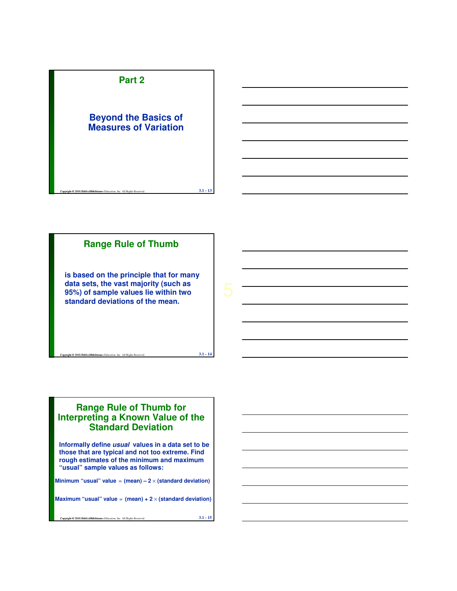## **Part 2**

## **Beyond the Basics of Measures of Variation**

 $\chi$ **cht © 2010. Pearson Pearson Education, Inc. All Rights Reserved. 3.1 - 13** 

# **Range Rule of Thumb**

**is based on the principle that for many data sets, the vast majority (such as 95%) of sample values lie within two standard deviations of the mean.**

 $\sigma$ **Fight © 2010, 2007, 2007, 2004 Period** Education, Inc. All Rights Reserved. **3.1 - 14** 

### **Range Rule of Thumb for Interpreting a Known Value of the Standard Deviation**

**Informally define usual values in a data set to be those that are typical and not too extreme. Find rough estimates of the minimum and maximum "usual" sample values as follows:**

Minimum "usual" value  $=$  (mean)  $-2 \times$  (standard deviation)

**Maximum "usual" value = (mean) + 2**  $\times$  **(standard deviation)** 

Copyright © 2010, **2010**, 2009, 2004 Pearson Education, Inc. All Rights Reserved. **3.1 - 15**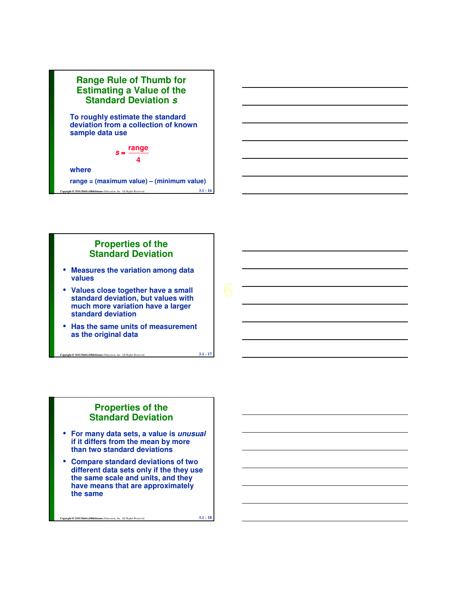

**deviation from a collection of known sample data use**

> **range s** ≈ **4**

**where**

**c**yright © 2010, 2007, 2007, 2010 Pearson Education, Inc. All Rights Reserved. **3.1 - 16 range = (maximum value) – (minimum value)**

### **Properties of the Standard Deviation**

- **Measures the variation among data values**
- **Values close together have a small standard deviation, but values with much more variation have a larger standard deviation**
- **Has the same units of measurement as the original data**

**Copyright © 2010, 2007, 2007, 2007, 2010 Pearson Education, Inc. All Rights Reserved. 3.1 - 17** 

### **Properties of the Standard Deviation**

- **For many data sets, a value is unusual if it differs from the mean by more than two standard deviations**
- **Compare standard deviations of two different data sets only if the they use the same scale and units, and they have means that are approximately the same**

**Comparison Education**, Inc. All Rights Reserved. **3.1 - 18** and **2010** Pearson Education, Inc. All Rights Reserved.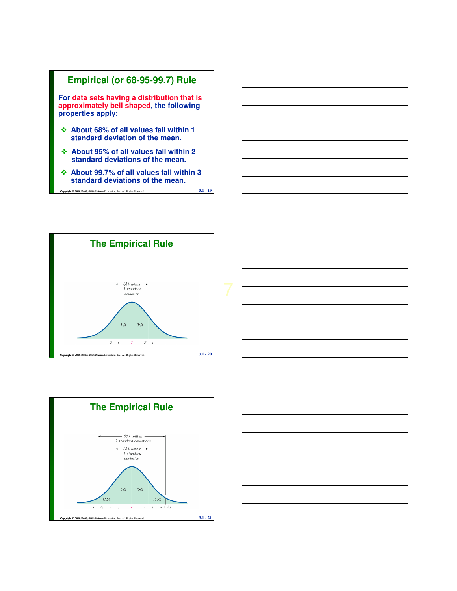

 **About 99.7% of all values fall within 3 standard deviations of the mean.**

Copyright © 2010, **2007, 2007, 2007** Pearson Education, Inc. All Rights Reserved. **3.1 - 19** 

**The Empirical Rule**  $68\%$  within 1 standard<br>deviation  $34\%$  $34\%$  $\overline{x} - s$  $\bar{x}$  $\overline{x} + s$ Copyright © 2010, **2007, 2007** Pearson Education, Inc. All Rights Reserved. **3.1 - 20** 





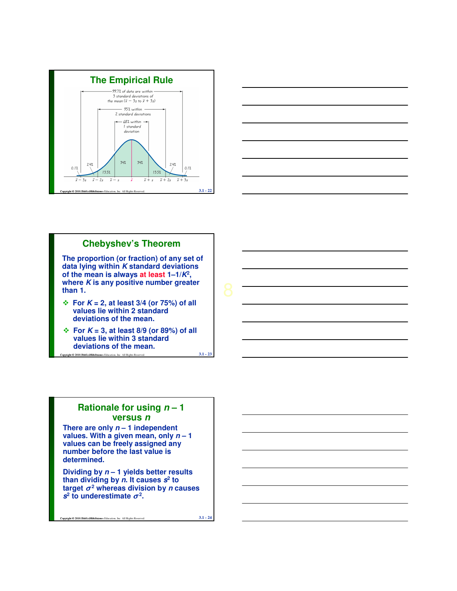



# **Chebyshev's Theorem**

**The proportion (or fraction) of any set of data lying within K standard deviations of the mean is always at least 1–1/K<sup>2</sup> , where K is any positive number greater than 1.**

- $\div$  For  $K = 2$ , at least 3/4 (or 75%) of all **values lie within 2 standard deviations of the mean.**
- $\div$  For  $K = 3$ , at least 8/9 (or 89%) of all **values lie within 3 standard deviations of the mean.**

yright © 2010, 2007, 2009, 2004 Peticson Education, Inc. All Rights Reserved. **3.1 - 23** 

### **Rationale for using n – 1 versus n**

**There are only**  $n - 1$  **independent** values. With a given mean, only  $n - 1$ **values can be freely assigned any number before the last value is determined.**

**Dividing by n – 1 yields better results than dividing by n. It causes s 2 to target** <sup>σ</sup> **<sup>2</sup> whereas division by n causes**   $s^2$  to underestimate  $\sigma^2$ .

Copyright © 2010, PhOF300FMAPeticson Education, Inc. All Rights Reserved. **3.1 - 24**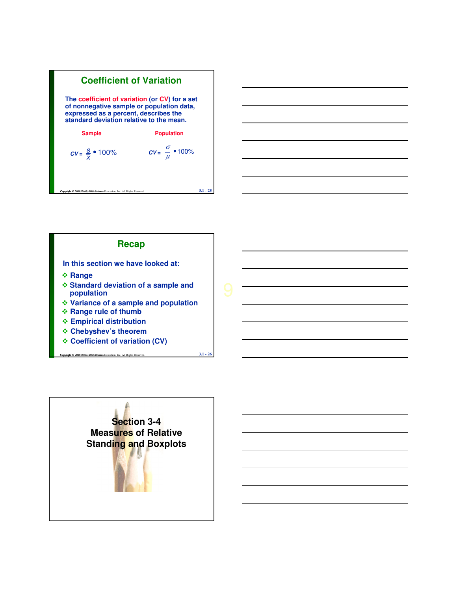



# **Recap In this section we have looked at: Range Standard deviation of a sample and population Variance of a sample and population Range rule of thumb Empirical distribution Chebyshev's theorem**

Copyright © 2010, Philosophia Pearson Education, Inc. All Rights Reserved. **3.1 - 26** 

**Coefficient of variation (CV)**

**Section 3-4 Measures of Relative Standing and Boxplots**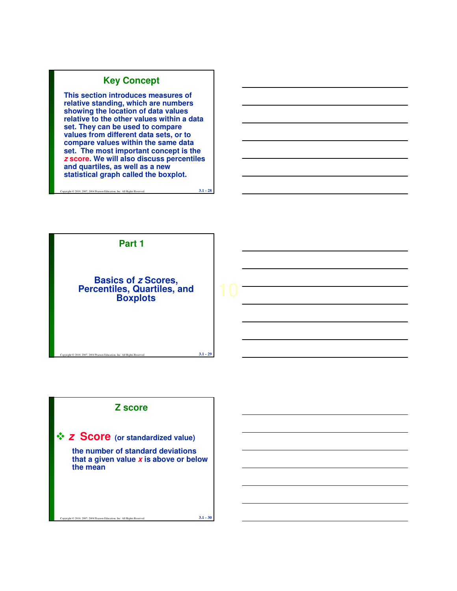## **Key Concept**

**This section introduces measures of relative standing, which are numbers showing the location of data values relative to the other values within a data set. They can be used to compare values from different data sets, or to compare values within the same data set. The most important concept is the z score. We will also discuss percentiles and quartiles, as well as a new statistical graph called the boxplot.**

ight © 2010, 2007, 2004 Pearson Education, Inc. All Rights Reserved. **3.1 - 28** 

Copyright © 2010, 2007, 2004 Pearson Education, Inc. All Rights Reserved. **3.1 - 29 Basics of z Scores, Percentiles, Quartiles, and Boxplots Part 1**

## **Z score**

 **z Score (or standardized value) the number of standard deviations that a given value x is above or below the mean**

Copyright © 2010, 2007, 2004 Pearson Education, Inc. All Rights Reserved. **3.1 - 30**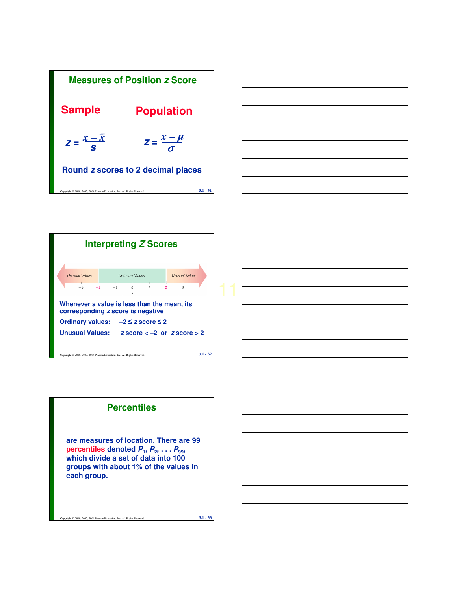







**are measures of location. There are 99 percentiles denoted**  $P_1, P_2, \ldots P_{99}$ **which divide a set of data into 100 groups with about 1% of the values in each group.**

right  $@ 2010$ , 2007, 2004 Pearson Education, Inc. All Rights Reserved. **3.1 - 33**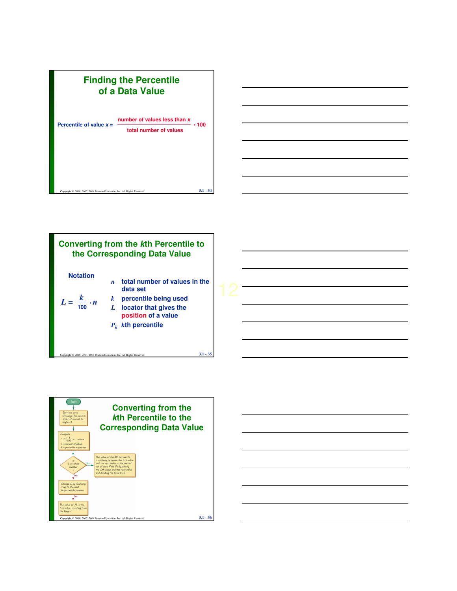







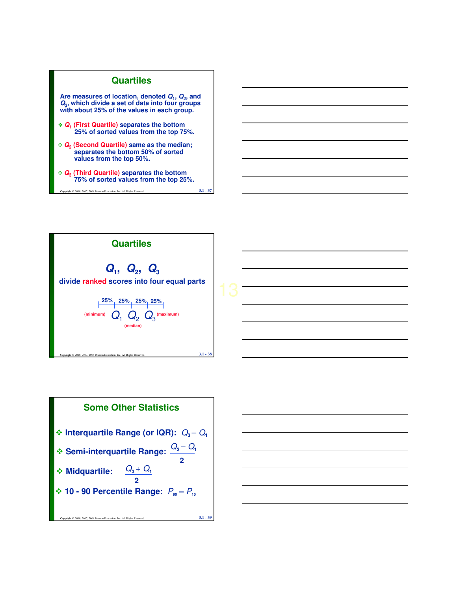



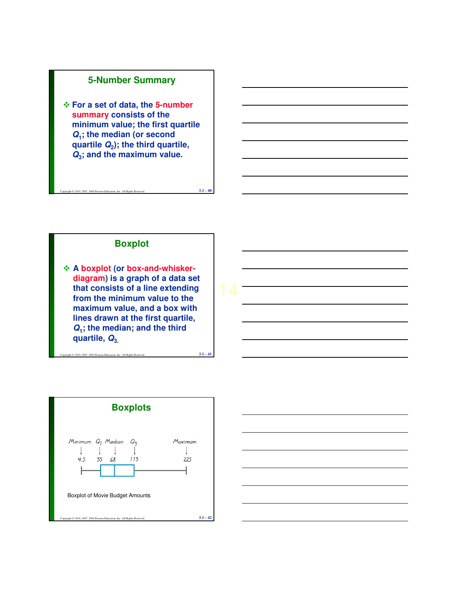## **5-Number Summary**

 **For a set of data, the 5-number summary consists of the minimum value; the first quartile Q1 ; the median (or second quartile Q<sup>2</sup> ); the third quartile, Q3 ; and the maximum value.**

Copyright © 2010, 2007, 2004 Pearson Education, Inc. All Rights Reserved. **3.1 - 40** 





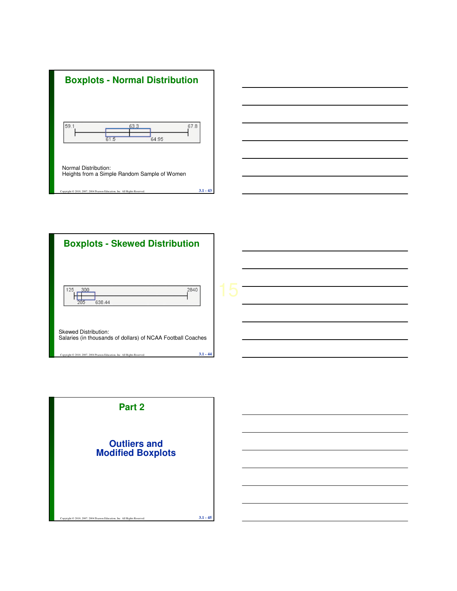





![](_page_14_Figure_3.jpeg)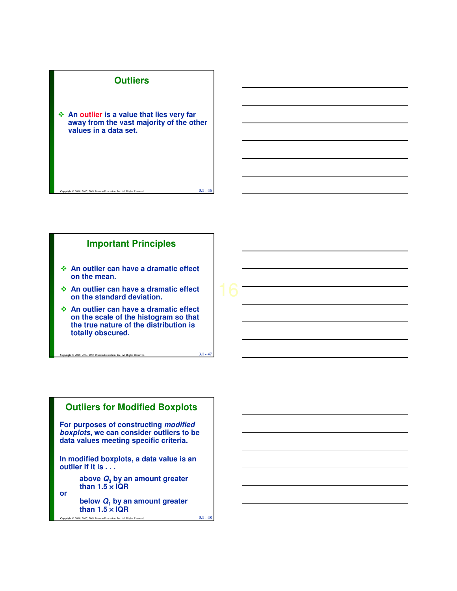### **Outliers**

 **An outlier is a value that lies very far away from the vast majority of the other values in a data set.**

## **Important Principles**

ht © 2010, 2007, 2004 Pearson Education, Inc. All Rights Reserved. **3.1 - 46** 

- **An outlier can have a dramatic effect on the mean.**
- **An outlier can have a dramatic effect on the standard deviation.**
- **An outlier can have a dramatic effect on the scale of the histogram so that the true nature of the distribution is totally obscured.**

of © 2010, 2007, 2004 Pearson Education, Inc. All Rights Reserved. **3.1 - 47** 

# **Outliers for Modified Boxplots**

**For purposes of constructing modified boxplots, we can consider outliers to be data values meeting specific criteria.**

**In modified boxplots, a data value is an outlier if it is . . .**

**above Q<sup>3</sup> by an amount greater**  than  $1.5 \times$  **IQR** 

**or**

**below Q<sup>1</sup> by an amount greater**   $t$ **han 1.5**  $\times$  **IQR** 

0, 2007, 2004 Pearson Education, Inc. All Rights Reserved. **3.1 - 48**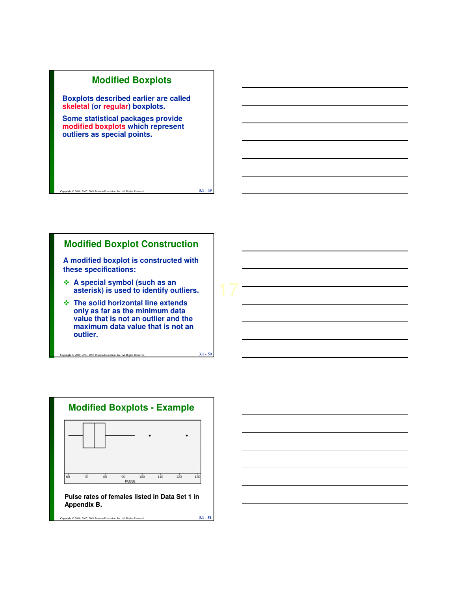## **Modified Boxplots**

**Boxplots described earlier are called skeletal (or regular) boxplots.**

**Some statistical packages provide modified boxplots which represent outliers as special points.**

![](_page_16_Figure_3.jpeg)

ht © 2010, 2007, 2004 Pearson Education, Inc. All Rights Reserved. **3.1 - 49** 

**A modified boxplot is constructed with these specifications:**

- **A special symbol (such as an asterisk) is used to identify outliers.**
- **The solid horizontal line extends only as far as the minimum data value that is not an outlier and the maximum data value that is not an outlier.**

0, 2007, 2004 Pearson Education, Inc. All Rights Reserved. **3.1 - 50 3.1** - 50

![](_page_16_Figure_7.jpeg)

![](_page_16_Figure_8.jpeg)